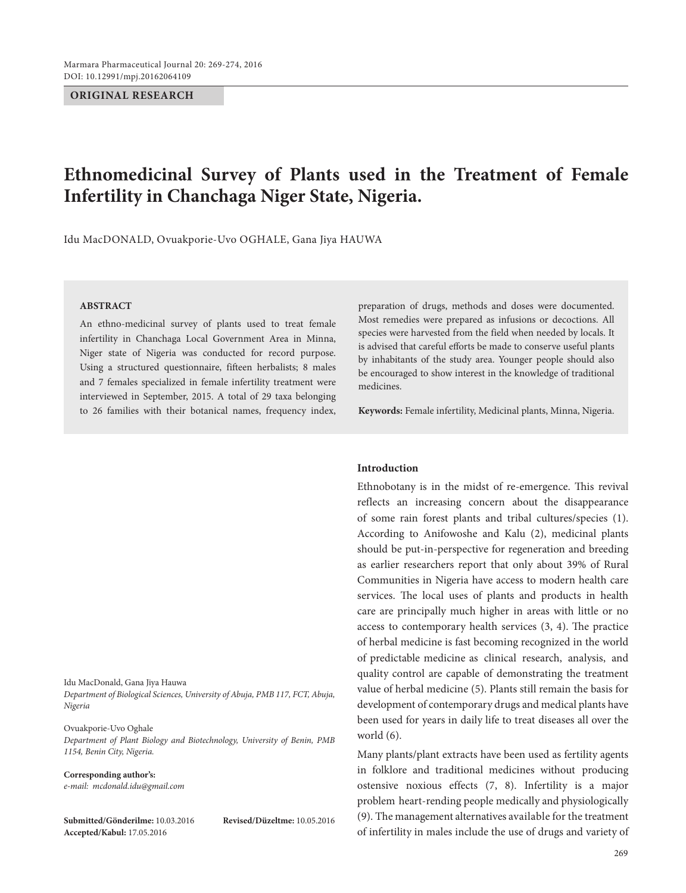#### **ORIGINAL RESEARCH**

# **Ethnomedicinal Survey of Plants used in the Treatment of Female Infertility in Chanchaga Niger State, Nigeria.**

Idu MacDONALD, Ovuakporie-Uvo OGHALE, Gana Jiya HAUWA

#### **ABSTRACT**

An ethno-medicinal survey of plants used to treat female infertility in Chanchaga Local Government Area in Minna, Niger state of Nigeria was conducted for record purpose. Using a structured questionnaire, fifteen herbalists; 8 males and 7 females specialized in female infertility treatment were interviewed in September, 2015. A total of 29 taxa belonging to 26 families with their botanical names, frequency index,

Idu MacDonald, Gana Jiya Hauwa

*Department of Biological Sciences, University of Abuja, PMB 117, FCT, Abuja, Nigeria*

Ovuakporie-Uvo Oghale *Department of Plant Biology and Biotechnology, University of Benin, PMB 1154, Benin City, Nigeria.*

**Corresponding author's:** *e-mail: mcdonald.idu@gmail.com*

**Submitted/Gönderilme:** 10.03.2016 **Revised/Düzeltme:** 10.05.2016 **Accepted/Kabul:** 17.05.2016

preparation of drugs, methods and doses were documented. Most remedies were prepared as infusions or decoctions. All species were harvested from the field when needed by locals. It is advised that careful efforts be made to conserve useful plants by inhabitants of the study area. Younger people should also be encouraged to show interest in the knowledge of traditional medicines.

**Keywords:** Female infertility, Medicinal plants, Minna, Nigeria.

#### **Introduction**

Ethnobotany is in the midst of re-emergence. This revival reflects an increasing concern about the disappearance of some rain forest plants and tribal cultures/species (1). According to Anifowoshe and Kalu (2), medicinal plants should be put-in-perspective for regeneration and breeding as earlier researchers report that only about 39% of Rural Communities in Nigeria have access to modern health care services. The local uses of plants and products in health care are principally much higher in areas with little or no access to contemporary health services (3, 4). The practice of herbal medicine is fast becoming recognized in the world of predictable medicine as clinical research, analysis, and quality control are capable of demonstrating the treatment value of herbal medicine (5). Plants still remain the basis for development of contemporary drugs and medical plants have been used for years in daily life to treat diseases all over the world (6).

Many plants/plant extracts have been used as fertility agents in folklore and traditional medicines without producing ostensive noxious effects (7, 8). Infertility is a major problem heart-rending people medically and physiologically (9). The management alternatives available for the treatment of infertility in males include the use of drugs and variety of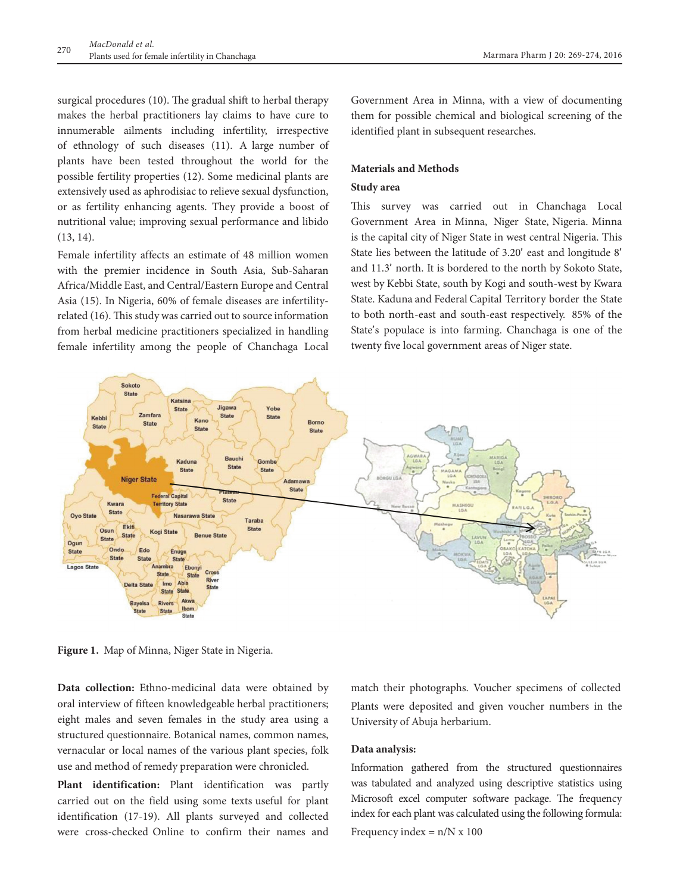surgical procedures (10). The gradual shift to herbal therapy makes the herbal practitioners lay claims to have cure to innumerable ailments including infertility, irrespective of ethnology of such diseases (11). A large number of plants have been tested throughout the world for the possible fertility properties (12). Some medicinal plants are extensively used as aphrodisiac to relieve sexual dysfunction, or as fertility enhancing agents. They provide a boost of nutritional value; improving sexual performance and libido (13, 14).

Female infertility affects an estimate of 48 million women with the premier incidence in South Asia, Sub-Saharan Africa/Middle East, and Central/Eastern Europe and Central Asia (15). In Nigeria, 60% of female diseases are infertilityrelated (16). This study was carried out to source information from herbal medicine practitioners specialized in handling female infertility among the people of Chanchaga Local Government Area in Minna, with a view of documenting them for possible chemical and biological screening of the identified plant in subsequent researches.

## **Materials and Methods**

#### **Study area**

This survey was carried out in Chanchaga Local Government Area in Minna, Niger State, Nigeria. Minna is the capital city of Niger State in west central Nigeria. This State lies between the latitude of 3.20' east and longitude 8' and 11.3' north. It is bordered to the north by Sokoto State, west by Kebbi State, south by Kogi and south-west by Kwara State. Kaduna and Federal Capital Territory border the State to both north-east and south-east respectively. 85% of the State's populace is into farming. Chanchaga is one of the twenty five local government areas of Niger state.



**Figure 1.** Map of Minna, Niger State in Nigeria.

**Data collection:** Ethno-medicinal data were obtained by oral interview of fifteen knowledgeable herbal practitioners; eight males and seven females in the study area using a structured questionnaire. Botanical names, common names, vernacular or local names of the various plant species, folk use and method of remedy preparation were chronicled.

**Plant identification:** Plant identification was partly carried out on the field using some texts useful for plant identification (17-19). All plants surveyed and collected were cross-checked Online to confirm their names and match their photographs. Voucher specimens of collected Plants were deposited and given voucher numbers in the University of Abuja herbarium.

#### **Data analysis:**

Information gathered from the structured questionnaires was tabulated and analyzed using descriptive statistics using Microsoft excel computer software package. The frequency index for each plant was calculated using the following formula: Frequency index  $= n/N \times 100$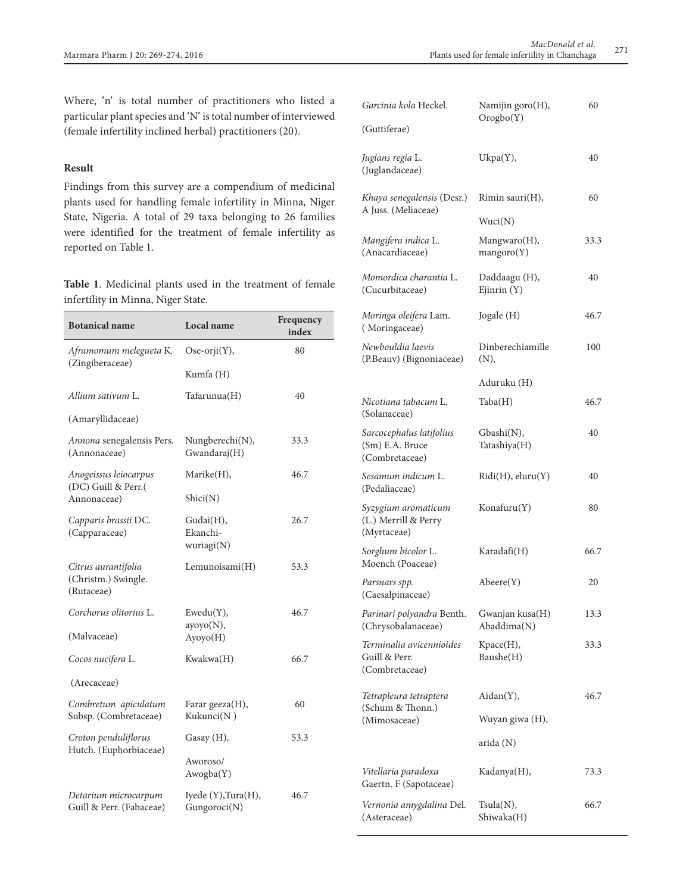Where, 'n' is total number of practitioners who listed a particular plant species and 'N' is total number of interviewed (female infertility inclined herbal) practitioners (20).

## **Result**

Findings from this survey are a compendium of medicinal plants used for handling female infertility in Minna, Niger State, Nigeria. A total of 29 taxa belonging to 26 families were identified for the treatment of female infertility as reported on Table 1.

**Table 1**. Medicinal plants used in the treatment of female infertility in Minna, Niger State.

| <b>Botanical name</b>                                    | Local name                          | Frequency<br>index |  |
|----------------------------------------------------------|-------------------------------------|--------------------|--|
| Aframomum melegueta K.                                   | Ose-orji(Y),                        | 80                 |  |
| (Zingiberaceae)                                          | Kumfa (H)                           |                    |  |
| Allium sativum L.                                        | Tafarunua(H)                        | 40                 |  |
| (Amaryllidaceae)                                         |                                     |                    |  |
| Annona senegalensis Pers.<br>(Annonaceae)                | Nungberechi(N),<br>Gwandaraj(H)     | 33.3               |  |
| Anogeissus leiocarpus                                    | Marike(H),                          | 46.7               |  |
| (DC) Guill & Perr.(<br>Annonaceae)                       | Shici(N)                            |                    |  |
| Capparis brassii DC.<br>(Capparaceae)                    | Gudai(H),<br>Ekanchi-<br>wuriagi(N) | 26.7               |  |
| Citrus aurantifolia<br>(Christm.) Swingle.<br>(Rutaceae) | Lemunoisami(H)                      | 53.3               |  |
| Corchorus olitorius L.                                   | Ewedu(Y),                           | 46.7               |  |
| (Malvaceae)                                              | ayoyo(N),<br>Ayoyo(H)               |                    |  |
| Cocos nucifera L.                                        | Kwakwa(H)                           | 66.7               |  |
| (Arecaceae)                                              |                                     |                    |  |
| Combretum apiculatum<br>Subsp. (Combretaceae)            | Farar geeza $(H)$ ,<br>Kukunci(N)   | 60                 |  |
| Croton penduliflorus                                     | Gasay (H),                          | 53.3               |  |
| Hutch. (Euphorbiaceae)                                   | Aworoso/<br>Awogba(Y)               |                    |  |
| Detarium microcarpum<br>Guill & Perr. (Fabaceae)         | Iyede (Y),Tura(H),<br>Gungoroci(N)  | 46.7               |  |

| Garcinia kola Heckel.<br>(Guttiferae)                         | Namijin goro(H),<br>Orogbo(Y)  | 60   |
|---------------------------------------------------------------|--------------------------------|------|
| Juglans regia L.                                              | Ukpa(Y),                       | 40   |
| (Juglandaceae)<br>Khaya senegalensis (Desr.)                  | Rimin sauri(H),                | 60   |
| A Juss. (Meliaceae)                                           | Wuci(N)                        |      |
| Mangifera indica L.<br>(Anacardiaceae)                        | Mangwaro(H),<br>mangoro(Y)     | 33.3 |
| Momordica charantia L.<br>(Cucurbitaceae)                     | Daddaagu (H),<br>Ejinrin (Y)   | 40   |
| Moringa oleifera Lam.<br>(Moringaceae)                        | Jogale (H)                     | 46.7 |
| Newbouldia laevis<br>(P.Beauv) (Bignoniaceae)                 | Dinberechiamille<br>(N),       | 100  |
|                                                               | Aduruku (H)                    |      |
| Nicotiana tabacum L.<br>(Solanaceae)                          | Taba(H)                        | 46.7 |
| Sarcocephalus latifolius<br>(Sm) E.A. Bruce<br>(Combretaceae) | Gbashi(N),<br>Tatashiya(H)     | 40   |
| Sesamum indicum L.<br>(Pedaliaceae)                           | Ridi(H), eluru(Y)              | 40   |
| Syzygium aromaticum<br>(L.) Merrill & Perry<br>(Myrtaceae)    | Konafuru(Y)                    | 80   |
| Sorghum bicolor L.<br>Moench (Poaceae)                        | Karadafi(H)                    | 66.7 |
| Parsnars spp.<br>(Caesalpinaceae)                             | $A \text{beere}(Y)$            | 20   |
| Parinari polyandra Benth.<br>(Chrysobalanaceae)               | Gwanjan kusa(H)<br>Abaddima(N) | 13.3 |
| Terminalia avicennioides<br>Guill & Perr.<br>(Combretaceae)   | Kpace(H),<br>Baushe(H)         | 33.3 |
| Tetrapleura tetraptera<br>(Schum & Thonn.)                    | Aidan(Y),                      | 46.7 |
| (Mimosaceae)                                                  | Wuyan giwa (H),                |      |
|                                                               | arida (N)                      |      |
| Vitellaria paradoxa<br>Gaertn. F (Sapotaceae)                 | Kadanya(H),                    | 73.3 |
| Vernonia amygdalina Del.<br>(Asteraceae)                      | Tsula(N),<br>Shiwaka(H)        | 66.7 |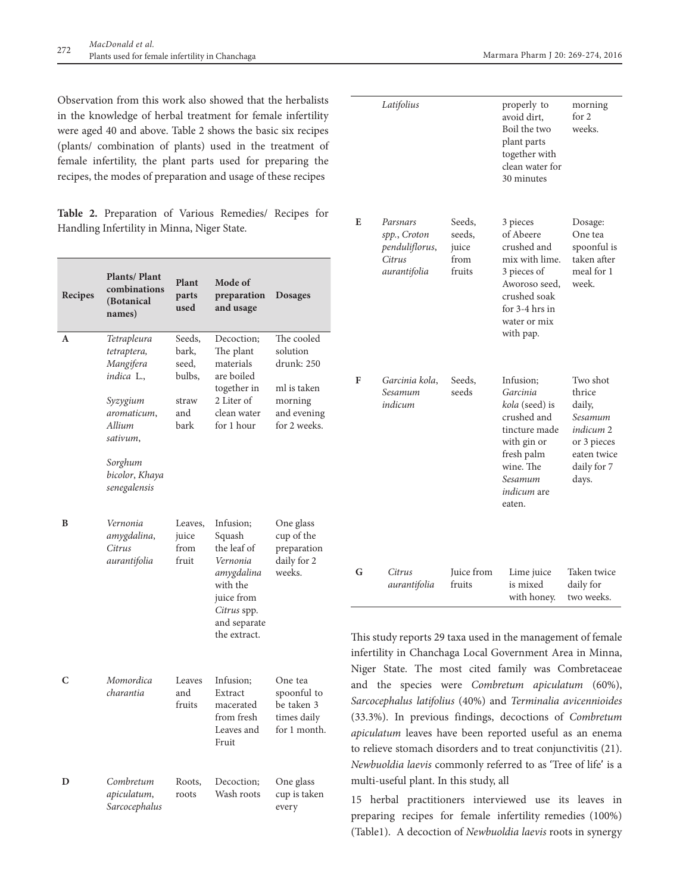Observation from this work also showed that the herbalists in the knowledge of herbal treatment for female infertility were aged 40 and above. Table 2 shows the basic six recipes (plants/ combination of plants) used in the treatment of female infertility, the plant parts used for preparing the recipes, the modes of preparation and usage of these recipes

**Table 2.** Preparation of Various Remedies/ Recipes for Handling Infertility in Minna, Niger State.

| Recipes | <b>Plants/Plant</b><br>combinations<br>(Botanical<br>names)                                                                                                | Plant<br>parts<br>used                                     | Mode of<br>preparation<br>and usage                                                                                                   | <b>Dosages</b>                                                                                |
|---------|------------------------------------------------------------------------------------------------------------------------------------------------------------|------------------------------------------------------------|---------------------------------------------------------------------------------------------------------------------------------------|-----------------------------------------------------------------------------------------------|
| A       | <i>Tetrapleura</i><br>tetraptera,<br>Mangifera<br>indica L.,<br>Syzygium<br>aromaticum,<br>Allium<br>sativum,<br>Sorghum<br>bicolor, Khaya<br>senegalensis | Seeds,<br>bark,<br>seed,<br>bulbs,<br>straw<br>and<br>bark | Decoction;<br>The plant<br>materials<br>are boiled<br>together in<br>2 Liter of<br>clean water<br>for 1 hour                          | The cooled<br>solution<br>drunk: 250<br>ml is taken<br>morning<br>and evening<br>for 2 weeks. |
| B       | Vernonia<br>amygdalina,<br>Citrus<br>aurantifolia                                                                                                          | Leaves,<br>juice<br>from<br>fruit                          | Infusion;<br>Squash<br>the leaf of<br>Vernonia<br>amygdalina<br>with the<br>juice from<br>Citrus spp.<br>and separate<br>the extract. | One glass<br>cup of the<br>preparation<br>daily for 2<br>weeks.                               |
| C       | Momordica<br>charantia                                                                                                                                     | Leaves<br>and<br>fruits                                    | Infusion;<br>Extract<br>macerated<br>from fresh<br>Leaves and<br>Fruit                                                                | One tea<br>spoonful to<br>be taken 3<br>times daily<br>for 1 month.                           |
| D       | Combretum<br>apiculatum,<br>Sarcocephalus                                                                                                                  | Roots,<br>roots                                            | Decoction;<br>Wash roots                                                                                                              | One glass<br>cup is taken<br>every                                                            |

|   | Latifolius                                                           |                                             | properly to<br>avoid dirt,<br>Boil the two<br>plant parts<br>together with<br>clean water for<br>30 minutes                                                  | morning<br>for 2<br>weeks.                                                                                 |
|---|----------------------------------------------------------------------|---------------------------------------------|--------------------------------------------------------------------------------------------------------------------------------------------------------------|------------------------------------------------------------------------------------------------------------|
| E | Parsnars<br>spp., Croton<br>penduliflorus,<br>Citrus<br>aurantifolia | Seeds,<br>seeds,<br>juice<br>from<br>fruits | 3 pieces<br>of Abeere<br>crushed and<br>mix with lime.<br>3 pieces of<br>Aworoso seed,<br>crushed soak<br>for 3-4 hrs in<br>water or mix<br>with pap.        | Dosage:<br>One tea<br>spoonful is<br>taken after<br>meal for 1<br>week.                                    |
| F | Garcinia kola,<br>Sesamum<br>indicum                                 | Seeds,<br>seeds                             | Infusion:<br>Garcinia<br>kola (seed) is<br>crushed and<br>tincture made<br>with gin or<br>fresh palm<br>wine. The<br>Sesamum<br><i>indicum</i> are<br>eaten. | Two shot<br>thrice<br>daily,<br>Sesamum<br>indicum 2<br>or 3 pieces<br>eaten twice<br>daily for 7<br>days. |
| G | Citrus<br>aurantifolia                                               | Juice from<br>fruits                        | Lime juice<br>is mixed<br>with honey.                                                                                                                        | Taken twice<br>daily for<br>two weeks.                                                                     |

This study reports 29 taxa used in the management of female infertility in Chanchaga Local Government Area in Minna, Niger State. The most cited family was Combretaceae and the species were *Combretum apiculatum* (60%), *Sarcocephalus latifolius* (40%) and *Terminalia avicennioides*  (33.3%). In previous findings, decoctions of *Combretum apiculatum* leaves have been reported useful as an enema to relieve stomach disorders and to treat conjunctivitis (21). *Newbuoldia laevis* commonly referred to as 'Tree of life' is a multi-useful plant. In this study, all

15 herbal practitioners interviewed use its leaves in preparing recipes for female infertility remedies (100%) (Table1). A decoction of *Newbuoldia laevis* roots in synergy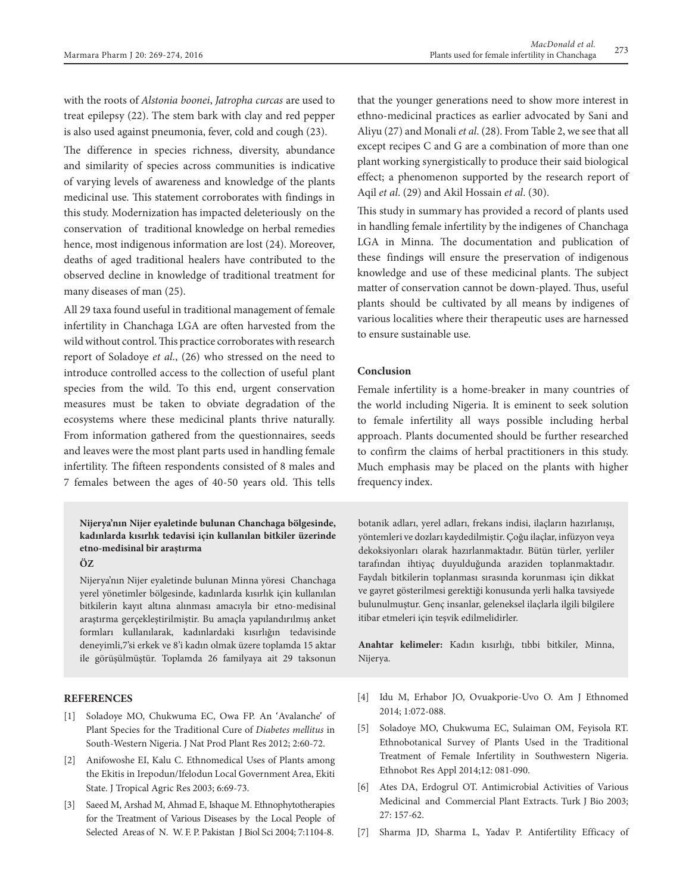with the roots of *Alstonia boonei*, *Jatropha curcas* are used to treat epilepsy (22). The stem bark with clay and red pepper is also used against pneumonia, fever, cold and cough (23).

The difference in species richness, diversity, abundance and similarity of species across communities is indicative of varying levels of awareness and knowledge of the plants medicinal use. This statement corroborates with findings in this study. Modernization has impacted deleteriously on the conservation of traditional knowledge on herbal remedies hence, most indigenous information are lost (24). Moreover, deaths of aged traditional healers have contributed to the observed decline in knowledge of traditional treatment for many diseases of man (25).

All 29 taxa found useful in traditional management of female infertility in Chanchaga LGA are often harvested from the wild without control. This practice corroborates with research report of Soladoye *et al*., (26) who stressed on the need to introduce controlled access to the collection of useful plant species from the wild. To this end, urgent conservation measures must be taken to obviate degradation of the ecosystems where these medicinal plants thrive naturally. From information gathered from the questionnaires, seeds and leaves were the most plant parts used in handling female infertility. The fifteen respondents consisted of 8 males and 7 females between the ages of 40-50 years old. This tells

## **Nijerya'nın Nijer eyaletinde bulunan Chanchaga bölgesinde, kadınlarda kısırlık tedavisi için kullanılan bitkiler üzerinde etno-medisinal bir araştırma**

### **ÖZ**

Nijerya'nın Nijer eyaletinde bulunan Minna yöresi Chanchaga yerel yönetimler bölgesinde, kadınlarda kısırlık için kullanılan bitkilerin kayıt altına alınması amacıyla bir etno-medisinal araştırma gerçekleştirilmiştir. Bu amaçla yapılandırılmış anket formları kullanılarak, kadınlardaki kısırlığın tedavisinde deneyimli,7'si erkek ve 8'i kadın olmak üzere toplamda 15 aktar ile görüşülmüştür. Toplamda 26 familyaya ait 29 taksonun

#### **REFERENCES**

- [1] Soladoye MO, Chukwuma EC, Owa FP. An 'Avalanche' of Plant Species for the Traditional Cure of *Diabetes mellitus* in South-Western Nigeria. J Nat Prod Plant Res 2012; 2:60-72.
- [2] Anifowoshe EI, Kalu C. Ethnomedical Uses of Plants among the Ekitis in Irepodun/Ifelodun Local Government Area, Ekiti State. J Tropical Agric Res 2003; 6:69-73.
- [3] Saeed M, Arshad M, Ahmad E, Ishaque M. Ethnophytotherapies for the Treatment of Various Diseases by the Local People of Selected Areas of N. W. F. P. Pakistan J Biol Sci 2004; 7:1104-8.

that the younger generations need to show more interest in ethno-medicinal practices as earlier advocated by Sani and Aliyu (27) and Monali *et al*. (28). From Table 2, we see that all except recipes C and G are a combination of more than one plant working synergistically to produce their said biological effect; a phenomenon supported by the research report of Aqil *et al*. (29) and Akil Hossain *et al*. (30).

This study in summary has provided a record of plants used in handling female infertility by the indigenes of Chanchaga LGA in Minna. The documentation and publication of these findings will ensure the preservation of indigenous knowledge and use of these medicinal plants. The subject matter of conservation cannot be down-played. Thus, useful plants should be cultivated by all means by indigenes of various localities where their therapeutic uses are harnessed to ensure sustainable use.

## **Conclusion**

Female infertility is a home-breaker in many countries of the world including Nigeria. It is eminent to seek solution to female infertility all ways possible including herbal approach. Plants documented should be further researched to confirm the claims of herbal practitioners in this study. Much emphasis may be placed on the plants with higher frequency index.

botanik adları, yerel adları, frekans indisi, ilaçların hazırlanışı, yöntemleri ve dozları kaydedilmiştir. Çoğu ilaçlar, infüzyon veya dekoksiyonları olarak hazırlanmaktadır. Bütün türler, yerliler tarafından ihtiyaç duyulduğunda araziden toplanmaktadır. Faydalı bitkilerin toplanması sırasında korunması için dikkat ve gayret gösterilmesi gerektiği konusunda yerli halka tavsiyede bulunulmuştur. Genç insanlar, geleneksel ilaçlarla ilgili bilgilere itibar etmeleri için teşvik edilmelidirler.

**Anahtar kelimeler:** Kadın kısırlığı, tıbbi bitkiler, Minna, Nijerya.

- [4] Idu M, Erhabor JO, Ovuakporie-Uvo O. Am J Ethnomed 2014; 1:072-088.
- [5] Soladoye MO, Chukwuma EC, Sulaiman OM, Feyisola RT. Ethnobotanical Survey of Plants Used in the Traditional Treatment of Female Infertility in Southwestern Nigeria. Ethnobot Res Appl 2014;12: 081-090.
- [6] Ates DA, Erdogrul OT. Antimicrobial Activities of Various Medicinal and Commercial Plant Extracts. Turk J Bio 2003; 27: 157-62.
- [7] Sharma JD, Sharma L, Yadav P. Antifertility Efficacy of